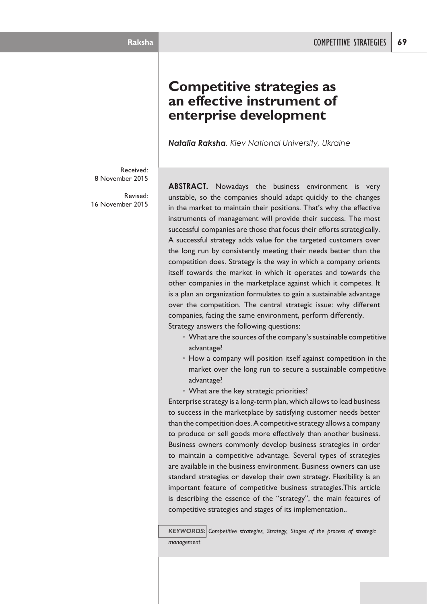# **Competitive strategies as an effective instrument of enterprise development**

*Natalia Raksha, Kiev National University, Ukraine*

Received: 8 November 2015

Revised: 16 November 2015

**ABSTRACT.** Nowadays the business environment is very unstable, so the companies should adapt quickly to the changes in the market to maintain their positions. That's why the effective instruments of management will provide their success. The most successful companies are those that focus their efforts strategically. A successful strategy adds value for the targeted customers over the long run by consistently meeting their needs better than the competition does. Strategy is the way in which a company orients itself towards the market in which it operates and towards the other companies in the marketplace against which it competes. It is a plan an organization formulates to gain a sustainable advantage over the competition. The central strategic issue: why different companies, facing the same environment, perform differently. Strategy answers the following questions:

- What are the sources of the company's sustainable competitive advantage?
- How a company will position itself against competition in the market over the long run to secure a sustainable competitive advantage?
- What are the key strategic priorities?

Enterprise strategy is a long-term plan, which allowsto lead business to success in the marketplace by satisfying customer needs better than the competition does. A competitive strategy allows a company to produce or sell goods more effectively than another business. Business owners commonly develop business strategies in order to maintain a competitive advantage. Several types of strategies are available in the business environment. Business owners can use standard strategies or develop their own strategy. Flexibility is an important feature of competitive business strategies.This article is describing the essence of the "strategy", the main features of competitive strategies and stages of its implementation..

*KEYWORDS: Competitive strategies, Strategy, Stages of the process of strategic management*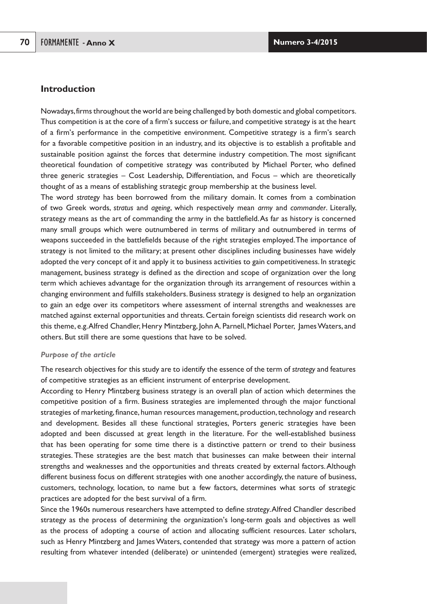# **Introduction**

Nowadays, firms throughout the world are being challenged by both domestic and global competitors. Thus competition is at the core of a firm's success or failure, and competitive strategy is at the heart of a firm's performance in the competitive environment. Competitive strategy is a firm's search for a favorable competitive position in an industry, and its objective is to establish a profitable and sustainable position against the forces that determine industry competition. The most significant theoretical foundation of competitive strategy was contributed by Michael Porter, who defined three generic strategies – Cost Leadership, Differentiation, and Focus – which are theoretically thought of as a means of establishing strategic group membership at the business level.

The word *strategy* has been borrowed from the military domain. It comes from a combination of two Greek words, *stratus* and *ageing*, which respectively mean *army* and *commander*. Literally, strategy means as the art of commanding the army in the battlefield.As far as history is concerned many small groups which were outnumbered in terms of military and outnumbered in terms of weapons succeeded in the battlefields because of the right strategies employed.The importance of strategy is not limited to the military; at present other disciplines including businesses have widely adopted the very concept of it and apply it to business activities to gain competitiveness. In strategic management, business strategy is defined as the direction and scope of organization over the long term which achieves advantage for the organization through its arrangement of resources within a changing environment and fulfills stakeholders. Business strategy is designed to help an organization to gain an edge over its competitors where assessment of internal strengths and weaknesses are matched against external opportunities and threats. Certain foreign scientists did research work on this theme, e.g.Alfred Chandler, Henry Mintzberg, JohnA. Parnell,Michael Porter, JamesWaters, and others. But still there are some questions that have to be solved.

#### *Purpose of the article*

The research objectives for this study are to identify the essence of the term of *strategy* and features of competitive strategies as an efficient instrument of enterprise development.

According to Henry Mintzberg business strategy is an overall plan of action which determines the competitive position of a firm. Business strategies are implemented through the major functional strategies of marketing, finance, human resources management, production,technology and research and development. Besides all these functional strategies, Porters generic strategies have been adopted and been discussed at great length in the literature. For the well-established business that has been operating for some time there is a distinctive pattern or trend to their business strategies. These strategies are the best match that businesses can make between their internal strengths and weaknesses and the opportunities and threats created by external factors.Although different business focus on different strategies with one another accordingly, the nature of business, customers, technology, location, to name but a few factors, determines what sorts of strategic practices are adopted for the best survival of a firm.

Since the 1960s numerous researchers have attempted to define *strategy*.Alfred Chandler described strategy as the process of determining the organization's long-term goals and objectives as well as the process of adopting a course of action and allocating sufficient resources. Later scholars, such as Henry Mintzberg and James Waters, contended that strategy was more a pattern of action resulting from whatever intended (deliberate) or unintended (emergent) strategies were realized,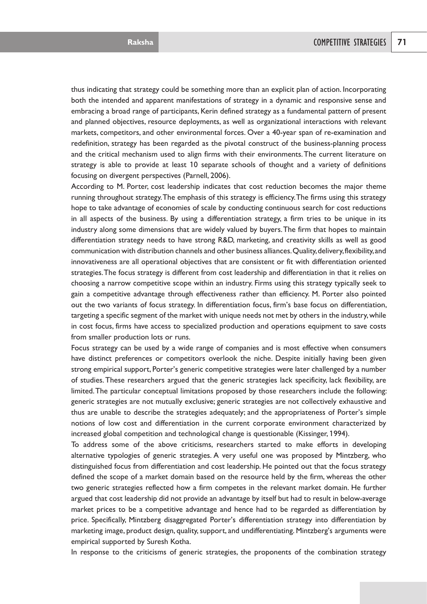thus indicating that strategy could be something more than an explicit plan of action. Incorporating both the intended and apparent manifestations of strategy in a dynamic and responsive sense and embracing a broad range of participants, Kerin defined strategy as a fundamental pattern of present and planned objectives, resource deployments, as well as organizational interactions with relevant markets, competitors, and other environmental forces. Over a 40-year span of re-examination and redefinition, strategy has been regarded as the pivotal construct of the business-planning process and the critical mechanism used to align firms with their environments.The current literature on strategy is able to provide at least 10 separate schools of thought and a variety of definitions focusing on divergent perspectives (Parnell, 2006).

According to M. Porter, cost leadership indicates that cost reduction becomes the major theme running throughout strategy.The emphasis of this strategy is efficiency.The firms using this strategy hope to take advantage of economies of scale by conducting continuous search for cost reductions in all aspects of the business. By using a differentiation strategy, a firm tries to be unique in its industry along some dimensions that are widely valued by buyers.The firm that hopes to maintain differentiation strategy needs to have strong R&D, marketing, and creativity skills as well as good communication with distribution channels and other business alliances.Quality,delivery,flexibility,and innovativeness are all operational objectives that are consistent or fit with differentiation oriented strategies.The focus strategy is different from cost leadership and differentiation in that it relies on choosing a narrow competitive scope within an industry. Firms using this strategy typically seek to gain a competitive advantage through effectiveness rather than efficiency. M. Porter also pointed out the two variants of focus strategy. In differentiation focus, firm's base focus on differentiation, targeting a specific segment of the market with unique needs not met by others in the industry,while in cost focus, firms have access to specialized production and operations equipment to save costs from smaller production lots or runs.

Focus strategy can be used by a wide range of companies and is most effective when consumers have distinct preferences or competitors overlook the niche. Despite initially having been given strong empirical support, Porter's generic competitive strategies were later challenged by a number of studies.These researchers argued that the generic strategies lack specificity, lack flexibility, are limited.The particular conceptual limitations proposed by those researchers include the following: generic strategies are not mutually exclusive; generic strategies are not collectively exhaustive and thus are unable to describe the strategies adequately; and the appropriateness of Porter's simple notions of low cost and differentiation in the current corporate environment characterized by increased global competition and technological change is questionable (Kissinger, 1994).

To address some of the above criticisms, researchers started to make efforts in developing alternative typologies of generic strategies. A very useful one was proposed by Mintzberg, who distinguished focus from differentiation and cost leadership. He pointed out that the focus strategy defined the scope of a market domain based on the resource held by the firm, whereas the other two generic strategies reflected how a firm competes in the relevant market domain. He further argued that cost leadership did not provide an advantage by itself but had to result in below-average market prices to be a competitive advantage and hence had to be regarded as differentiation by price. Specifically, Mintzberg disaggregated Porter's differentiation strategy into differentiation by marketing image, product design, quality, support, and undifferentiating. Mintzberg's arguments were empirical supported by Suresh Kotha.

In response to the criticisms of generic strategies, the proponents of the combination strategy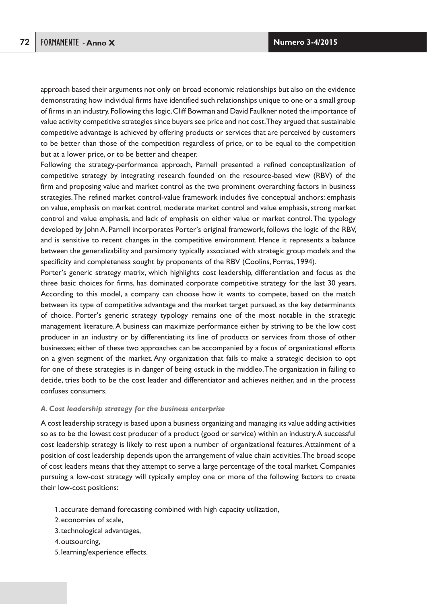approach based their arguments not only on broad economic relationships but also on the evidence demonstrating how individual firms have identified such relationships unique to one or a small group of firms in an industry.Following this logic,Cliff Bowman and David Faulkner noted the importance of value activity competitive strategies since buyers see price and not cost.They argued that sustainable competitive advantage is achieved by offering products or services that are perceived by customers to be better than those of the competition regardless of price, or to be equal to the competition but at a lower price, or to be better and cheaper.

Following the strategy-performance approach, Parnell presented a refined conceptualization of competitive strategy by integrating research founded on the resource-based view (RBV) of the firm and proposing value and market control as the two prominent overarching factors in business strategies.The refined market control-value framework includes five conceptual anchors: emphasis on value, emphasis on market control, moderate market control and value emphasis, strong market control and value emphasis, and lack of emphasis on either value or market control.The typology developed by John A. Parnell incorporates Porter's original framework, follows the logic of the RBV, and is sensitive to recent changes in the competitive environment. Hence it represents a balance between the generalizability and parsimony typically associated with strategic group models and the specificity and completeness sought by proponents of the RBV (Coolins, Porras, 1994).

Porter's generic strategy matrix, which highlights cost leadership, differentiation and focus as the three basic choices for firms, has dominated corporate competitive strategy for the last 30 years. According to this model, a company can choose how it wants to compete, based on the match between its type of competitive advantage and the market target pursued, as the key determinants of choice. Porter's generic strategy typology remains one of the most notable in the strategic management literature.A business can maximize performance either by striving to be the low cost producer in an industry or by differentiating its line of products or services from those of other businesses; either of these two approaches can be accompanied by a focus of organizational efforts on a given segment of the market.Any organization that fails to make a strategic decision to opt for one of these strategies is in danger of being «stuck in the middle».The organization in failing to decide, tries both to be the cost leader and differentiator and achieves neither, and in the process confuses consumers.

### *A. Cost leadership strategy for the business enterprise*

A cost leadership strategy is based upon a business organizing and managing its value adding activities so as to be the lowest cost producer of a product (good or service) within an industry.A successful cost leadership strategy is likely to rest upon a number of organizational features. Attainment of a position of cost leadership depends upon the arrangement of value chain activities.The broad scope of cost leaders means that they attempt to serve a large percentage of the total market. Companies pursuing a low-cost strategy will typically employ one or more of the following factors to create their low-cost positions:

- 1. accurate demand forecasting combined with high capacity utilization,
- 2. economies of scale,
- 3. technological advantages,
- 4. outsourcing,
- 5. learning/experience effects.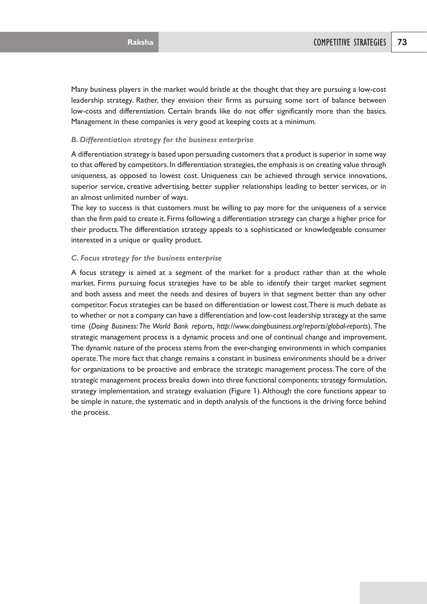Many business players in the market would bristle at the thought that they are pursuing a low-cost leadership strategy. Rather, they envision their firms as pursuing some sort of balance between low-costs and differentiation. Certain brands like do not offer significantly more than the basics. Management in these companies is very good at keeping costs at a minimum.

#### *B. Differentiation strategy for the business enterprise*

A differentiation strategy is based upon persuading customers that a product is superior in some way to that offered by competitors. In differentiation strategies, the emphasis is on creating value through uniqueness, as opposed to lowest cost. Uniqueness can be achieved through service innovations, superior service, creative advertising, better supplier relationships leading to better services, or in an almost unlimited number of ways.

The key to success is that customers must be willing to pay more for the uniqueness of a service than the firm paid to create it. Firms following a differentiation strategy can charge a higher price for their products.The differentiation strategy appeals to a sophisticated or knowledgeable consumer interested in a unique or quality product.

#### *C. Focus strategy for the business enterprise*

A focus strategy is aimed at a segment of the market for a product rather than at the whole market. Firms pursuing focus strategies have to be able to identify their target market segment and both assess and meet the needs and desires of buyers in that segment better than any other competitor. Focus strategies can be based on differentiation or lowest cost.There is much debate as to whether or not a company can have a differentiation and low-cost leadership strategy at the same time (*Doing Business: The World Bank reports, http://www.doingbusiness.org/reports/global-reports*). The strategic management process is a dynamic process and one of continual change and improvement. The dynamic nature of the process stems from the ever-changing environments in which companies operate.The more fact that change remains a constant in business environments should be a driver for organizations to be proactive and embrace the strategic management process.The core of the strategic management process breaks down into three functional components: strategy formulation, strategy implementation, and strategy evaluation (Figure 1).Although the core functions appear to be simple in nature, the systematic and in depth analysis of the functions is the driving force behind the process.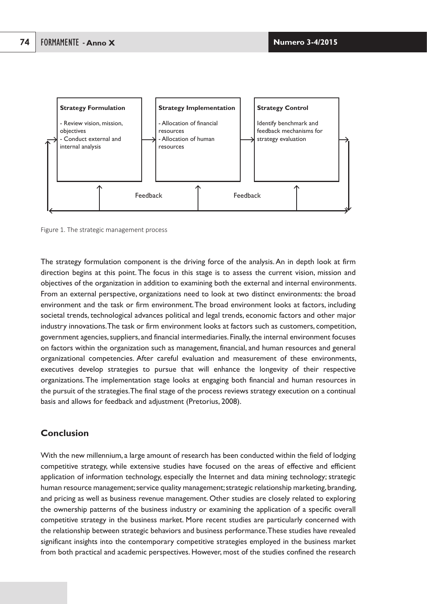



The strategy formulation component is the driving force of the analysis.An in depth look at firm direction begins at this point. The focus in this stage is to assess the current vision, mission and objectives of the organization in addition to examining both the external and internal environments. From an external perspective, organizations need to look at two distinct environments: the broad environment and the task or firm environment.The broad environment looks at factors, including societal trends, technological advances political and legal trends, economic factors and other major industry innovations.The task or firm environment looks at factors such as customers, competition, government agencies, suppliers, and financial intermediaries. Finally, the internal environment focuses on factors within the organization such as management, financial, and human resources and general organizational competencies. After careful evaluation and measurement of these environments, executives develop strategies to pursue that will enhance the longevity of their respective organizations.The implementation stage looks at engaging both financial and human resources in the pursuit of the strategies.The final stage of the process reviews strategy execution on a continual basis and allows for feedback and adjustment (Pretorius, 2008).

# **Conclusion**

With the new millennium, a large amount of research has been conducted within the field of lodging competitive strategy, while extensive studies have focused on the areas of effective and efficient application of information technology, especially the Internet and data mining technology; strategic human resource management; service quality management; strategic relationship marketing, branding, and pricing as well as business revenue management. Other studies are closely related to exploring the ownership patterns of the business industry or examining the application of a specific overall competitive strategy in the business market. More recent studies are particularly concerned with the relationship between strategic behaviors and business performance.These studies have revealed significant insights into the contemporary competitive strategies employed in the business market from both practical and academic perspectives. However, most of the studies confined the research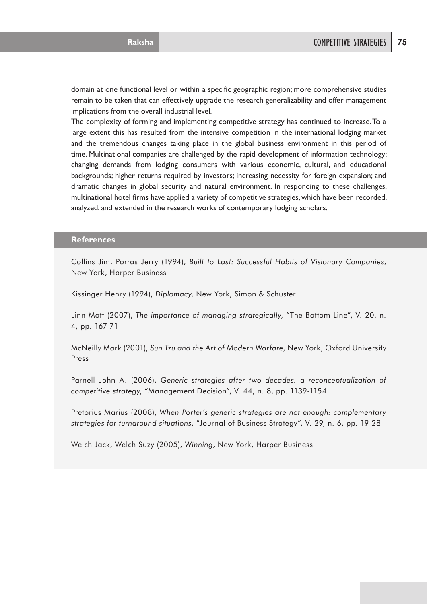domain at one functional level or within a specific geographic region; more comprehensive studies remain to be taken that can effectively upgrade the research generalizability and offer management implications from the overall industrial level.

The complexity of forming and implementing competitive strategy has continued to increase.To a large extent this has resulted from the intensive competition in the international lodging market and the tremendous changes taking place in the global business environment in this period of time. Multinational companies are challenged by the rapid development of information technology; changing demands from lodging consumers with various economic, cultural, and educational backgrounds; higher returns required by investors; increasing necessity for foreign expansion; and dramatic changes in global security and natural environment. In responding to these challenges, multinational hotel firms have applied a variety of competitive strategies, which have been recorded, analyzed, and extended in the research works of contemporary lodging scholars.

# **References**

Collins Jim, Porras Jerry (1994), *Built to Last: Successful Habits of Visionary Companies*, New York, Harper Business

Kissinger Henry (1994), *Diplomacy*, New York, Simon & Schuster

Linn Mott (2007), *The importance of managing strategically*, "The Bottom Line", V. 20, n. 4, pp. 167-71

McNeilly Mark (2001), *Sun Tzu and the Art of Modern Warfare*, New York, Oxford University Press

Parnell John A. (2006), *Generic strategies after two decades: a reconceptualization of competitive strategy*, "Management Decision", V. 44, n. 8, pp. 1139-1154

Pretorius Marius (2008), *When Porter's generic strategies are not enough: complementary strategies for turnaround situations*, "Journal of Business Strategy", V. 29, n. 6, pp. 19-28

Welch Jack, Welch Suzy (2005), *Winning*, New York, Harper Business